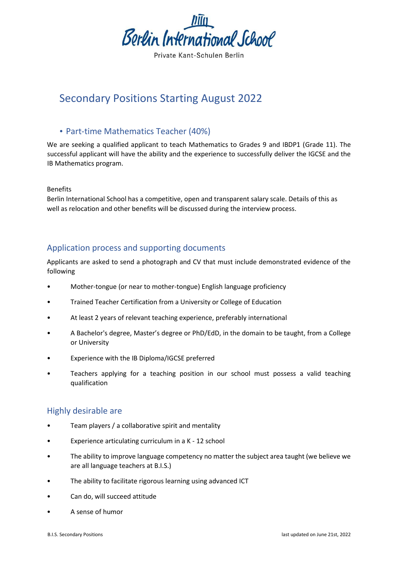

Private Kant-Schulen Berlin

# Secondary Positions Starting August 2022

#### • Part-time Mathematics Teacher (40%)

We are seeking a qualified applicant to teach Mathematics to Grades 9 and IBDP1 (Grade 11). The successful applicant will have the ability and the experience to successfully deliver the IGCSE and the IB Mathematics program.

#### Benefits

Berlin International School has a competitive, open and transparent salary scale. Details of this as well as relocation and other benefits will be discussed during the interview process.

## Application process and supporting documents

Applicants are asked to send a photograph and CV that must include demonstrated evidence of the following

- Mother-tongue (or near to mother-tongue) English language proficiency
- Trained Teacher Certification from a University or College of Education
- At least 2 years of relevant teaching experience, preferably international
- A Bachelor's degree, Master's degree or PhD/EdD, in the domain to be taught, from a College or University
- Experience with the IB Diploma/IGCSE preferred
- Teachers applying for a teaching position in our school must possess a valid teaching qualification

## Highly desirable are

- Team players / a collaborative spirit and mentality
- Experience articulating curriculum in a K 12 school
- The ability to improve language competency no matter the subject area taught (we believe we are all language teachers at B.I.S.)
- The ability to facilitate rigorous learning using advanced ICT
- Can do, will succeed attitude
- A sense of humor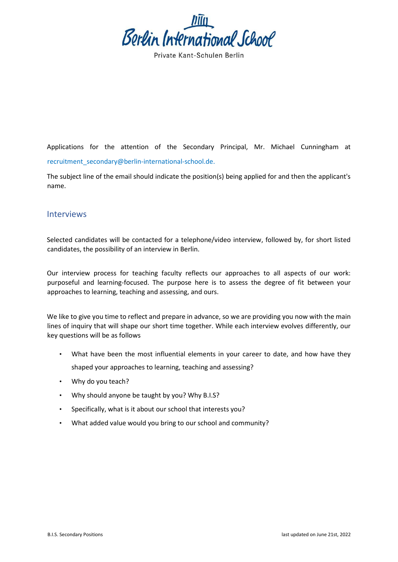

Applications for the attention of the Secondary Principal, Mr. Michael Cunningham at recruitment\_secondary@berlin-international-school.de.

The subject line of the email should indicate the position(s) being applied for and then the applicant's name.

#### Interviews

Selected candidates will be contacted for a telephone/video interview, followed by, for short listed candidates, the possibility of an interview in Berlin.

Our interview process for teaching faculty reflects our approaches to all aspects of our work: purposeful and learning-focused. The purpose here is to assess the degree of fit between your approaches to learning, teaching and assessing, and ours.

We like to give you time to reflect and prepare in advance, so we are providing you now with the main lines of inquiry that will shape our short time together. While each interview evolves differently, our key questions will be as follows

- What have been the most influential elements in your career to date, and how have they shaped your approaches to learning, teaching and assessing?
- Why do you teach?
- Why should anyone be taught by you? Why B.I.S?
- Specifically, what is it about our school that interests you?
- What added value would you bring to our school and community?